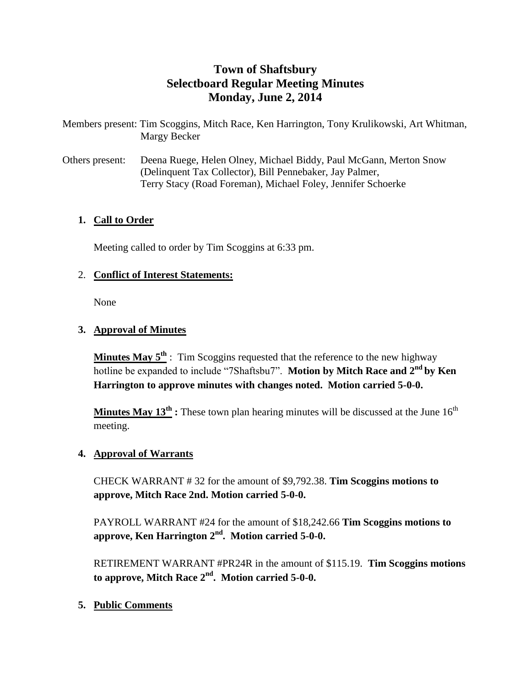# **Town of Shaftsbury Selectboard Regular Meeting Minutes Monday, June 2, 2014**

Members present: Tim Scoggins, Mitch Race, Ken Harrington, Tony Krulikowski, Art Whitman, Margy Becker

Others present: Deena Ruege, Helen Olney, Michael Biddy, Paul McGann, Merton Snow (Delinquent Tax Collector), Bill Pennebaker, Jay Palmer, Terry Stacy (Road Foreman), Michael Foley, Jennifer Schoerke

### **1. Call to Order**

Meeting called to order by Tim Scoggins at 6:33 pm.

## 2. **Conflict of Interest Statements:**

None

## **3. Approval of Minutes**

**Minutes May 5th** : Tim Scoggins requested that the reference to the new highway hotline be expanded to include "7Shaftsbu7". **Motion by Mitch Race and 2nd by Ken Harrington to approve minutes with changes noted. Motion carried 5-0-0.**

**Minutes May**  $13^{th}$  **<b>:** These town plan hearing minutes will be discussed at the June  $16^{th}$ meeting.

### **4. Approval of Warrants**

CHECK WARRANT # 32 for the amount of \$9,792.38. **Tim Scoggins motions to approve, Mitch Race 2nd. Motion carried 5-0-0.**

PAYROLL WARRANT #24 for the amount of \$18,242.66 **Tim Scoggins motions to approve, Ken Harrington 2nd. Motion carried 5-0-0.**

RETIREMENT WARRANT #PR24R in the amount of \$115.19. **Tim Scoggins motions to approve, Mitch Race 2nd. Motion carried 5-0-0.**

## **5. Public Comments**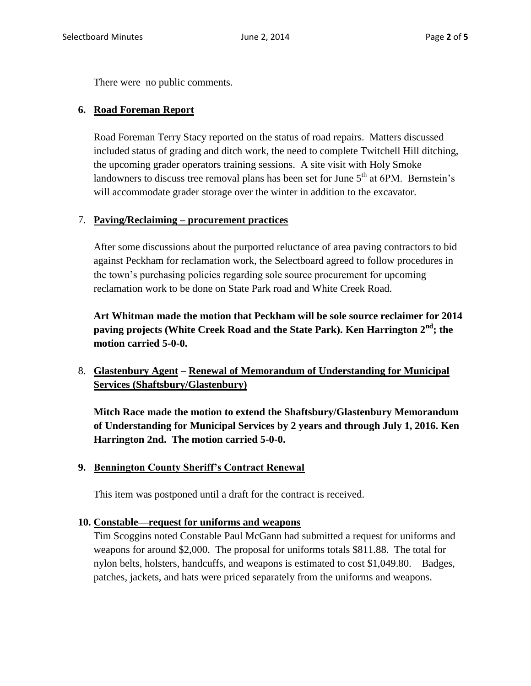There were no public comments.

### **6. Road Foreman Report**

Road Foreman Terry Stacy reported on the status of road repairs. Matters discussed included status of grading and ditch work, the need to complete Twitchell Hill ditching, the upcoming grader operators training sessions. A site visit with Holy Smoke landowners to discuss tree removal plans has been set for June  $5<sup>th</sup>$  at 6PM. Bernstein's will accommodate grader storage over the winter in addition to the excavator.

### 7. **Paving/Reclaiming – procurement practices**

After some discussions about the purported reluctance of area paving contractors to bid against Peckham for reclamation work, the Selectboard agreed to follow procedures in the town's purchasing policies regarding sole source procurement for upcoming reclamation work to be done on State Park road and White Creek Road.

**Art Whitman made the motion that Peckham will be sole source reclaimer for 2014 paving projects (White Creek Road and the State Park). Ken Harrington 2nd; the motion carried 5-0-0.**

## 8. **Glastenbury Agent – Renewal of Memorandum of Understanding for Municipal Services (Shaftsbury/Glastenbury)**

**Mitch Race made the motion to extend the Shaftsbury/Glastenbury Memorandum of Understanding for Municipal Services by 2 years and through July 1, 2016. Ken Harrington 2nd. The motion carried 5-0-0.**

### **9. Bennington County Sheriff's Contract Renewal**

This item was postponed until a draft for the contract is received.

#### **10. Constable—request for uniforms and weapons**

Tim Scoggins noted Constable Paul McGann had submitted a request for uniforms and weapons for around \$2,000. The proposal for uniforms totals \$811.88. The total for nylon belts, holsters, handcuffs, and weapons is estimated to cost \$1,049.80. Badges, patches, jackets, and hats were priced separately from the uniforms and weapons.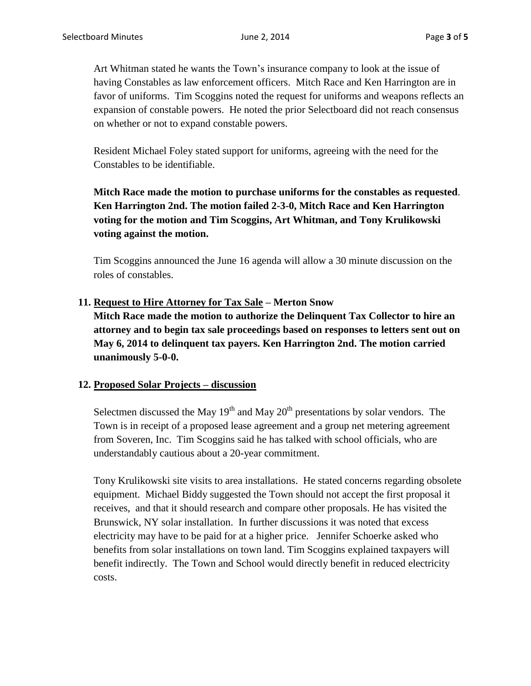Art Whitman stated he wants the Town's insurance company to look at the issue of having Constables as law enforcement officers. Mitch Race and Ken Harrington are in favor of uniforms. Tim Scoggins noted the request for uniforms and weapons reflects an expansion of constable powers. He noted the prior Selectboard did not reach consensus on whether or not to expand constable powers.

Resident Michael Foley stated support for uniforms, agreeing with the need for the Constables to be identifiable.

# **Mitch Race made the motion to purchase uniforms for the constables as requested**. **Ken Harrington 2nd. The motion failed 2-3-0, Mitch Race and Ken Harrington voting for the motion and Tim Scoggins, Art Whitman, and Tony Krulikowski voting against the motion.**

Tim Scoggins announced the June 16 agenda will allow a 30 minute discussion on the roles of constables.

**11. Request to Hire Attorney for Tax Sale – Merton Snow**

**Mitch Race made the motion to authorize the Delinquent Tax Collector to hire an attorney and to begin tax sale proceedings based on responses to letters sent out on May 6, 2014 to delinquent tax payers. Ken Harrington 2nd. The motion carried unanimously 5-0-0.**

### **12. Proposed Solar Projects – discussion**

Selectmen discussed the May  $19<sup>th</sup>$  and May  $20<sup>th</sup>$  presentations by solar vendors. The Town is in receipt of a proposed lease agreement and a group net metering agreement from Soveren, Inc. Tim Scoggins said he has talked with school officials, who are understandably cautious about a 20-year commitment.

Tony Krulikowski site visits to area installations. He stated concerns regarding obsolete equipment. Michael Biddy suggested the Town should not accept the first proposal it receives, and that it should research and compare other proposals. He has visited the Brunswick, NY solar installation. In further discussions it was noted that excess electricity may have to be paid for at a higher price. Jennifer Schoerke asked who benefits from solar installations on town land. Tim Scoggins explained taxpayers will benefit indirectly. The Town and School would directly benefit in reduced electricity costs.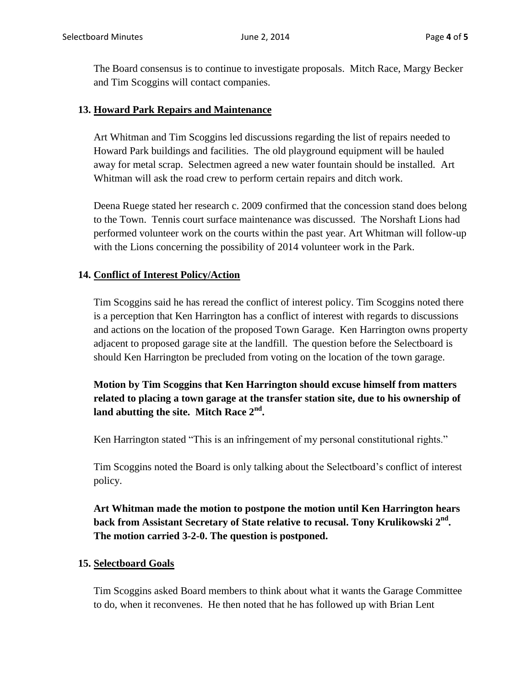The Board consensus is to continue to investigate proposals. Mitch Race, Margy Becker and Tim Scoggins will contact companies.

### **13. Howard Park Repairs and Maintenance**

Art Whitman and Tim Scoggins led discussions regarding the list of repairs needed to Howard Park buildings and facilities. The old playground equipment will be hauled away for metal scrap. Selectmen agreed a new water fountain should be installed. Art Whitman will ask the road crew to perform certain repairs and ditch work.

Deena Ruege stated her research c. 2009 confirmed that the concession stand does belong to the Town. Tennis court surface maintenance was discussed. The Norshaft Lions had performed volunteer work on the courts within the past year. Art Whitman will follow-up with the Lions concerning the possibility of 2014 volunteer work in the Park.

### **14. Conflict of Interest Policy/Action**

Tim Scoggins said he has reread the conflict of interest policy. Tim Scoggins noted there is a perception that Ken Harrington has a conflict of interest with regards to discussions and actions on the location of the proposed Town Garage. Ken Harrington owns property adjacent to proposed garage site at the landfill. The question before the Selectboard is should Ken Harrington be precluded from voting on the location of the town garage.

## **Motion by Tim Scoggins that Ken Harrington should excuse himself from matters related to placing a town garage at the transfer station site, due to his ownership of land abutting the site. Mitch Race 2nd .**

Ken Harrington stated "This is an infringement of my personal constitutional rights."

Tim Scoggins noted the Board is only talking about the Selectboard's conflict of interest policy.

**Art Whitman made the motion to postpone the motion until Ken Harrington hears back from Assistant Secretary of State relative to recusal. Tony Krulikowski 2nd . The motion carried 3-2-0. The question is postponed.**

### **15. Selectboard Goals**

Tim Scoggins asked Board members to think about what it wants the Garage Committee to do, when it reconvenes. He then noted that he has followed up with Brian Lent